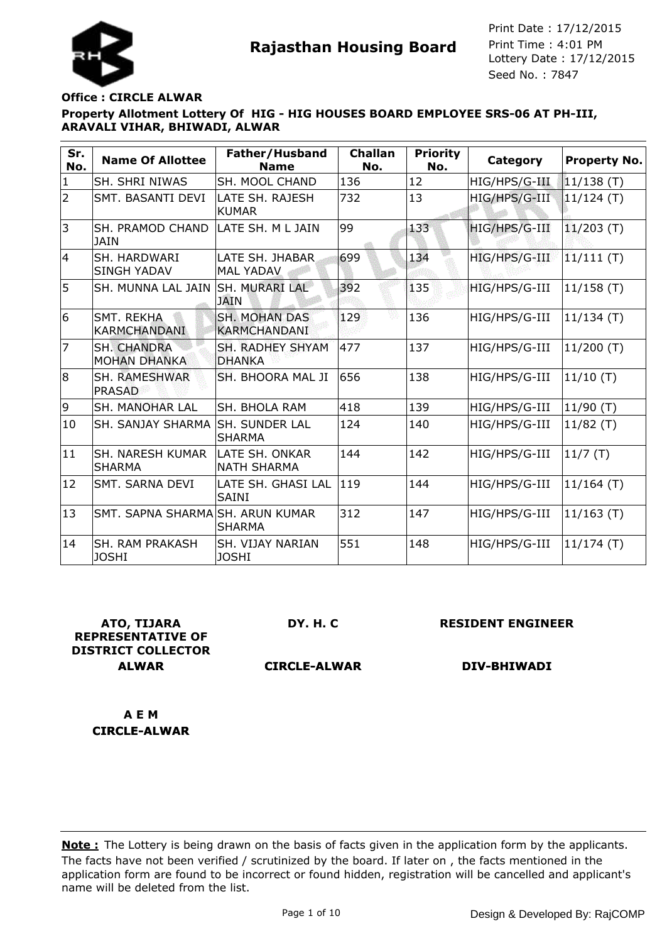

### **Office : CIRCLE ALWAR**

# **Property Allotment Lottery Of HIG - HIG HOUSES BOARD EMPLOYEE SRS-06 AT PH-III, ARAVALI VIHAR, BHIWADI, ALWAR**

| Sr.<br>No.     | <b>Name Of Allottee</b>                   | Father/Husband<br><b>Name</b>               | <b>Challan</b><br>No. | <b>Priority</b><br>No. | <b>Category</b> | Property No. |
|----------------|-------------------------------------------|---------------------------------------------|-----------------------|------------------------|-----------------|--------------|
| $\mathbf{1}$   | SH. SHRI NIWAS                            | SH. MOOL CHAND                              | 136                   | 12                     | HIG/HPS/G-III   | $11/138$ (T) |
| $\overline{2}$ | SMT. BASANTI DEVI                         | LATE SH. RAJESH<br><b>KUMAR</b>             | 732                   | 13                     | HIG/HPS/G-III   | $11/124$ (T) |
| 3              | SH. PRAMOD CHAND<br><b>JAIN</b>           | LATE SH. M L JAIN                           | 99                    | 133                    | HIG/HPS/G-III   | $11/203$ (T) |
| 14             | <b>SH. HARDWARI</b><br><b>SINGH YADAV</b> | LATE SH. JHABAR.<br><b>MAL YADAV</b>        | 699                   | 134                    | HIG/HPS/G-III   | $11/111$ (T) |
| 5              | SH. MUNNA LAL JAIN                        | <b>SH. MURARI LAL</b><br><b>JAIN</b>        | 392                   | 135                    | HIG/HPS/G-III   | $11/158$ (T) |
| 6              | <b>SMT. REKHA</b><br><b>KARMCHANDANI</b>  | <b>SH. MOHAN DAS</b><br><b>KARMCHANDANI</b> | 129                   | 136                    | HIG/HPS/G-III   | 11/134(T)    |
| $\overline{7}$ | <b>SH. CHANDRA</b><br><b>MOHAN DHANKA</b> | <b>SH. RADHEY SHYAM</b><br><b>DHANKA</b>    | 477                   | 137                    | HIG/HPS/G-III   | $11/200$ (T) |
| 8              | SH. RAMESHWAR<br>PRASAD                   | SH. BHOORA MAL JI                           | 656                   | 138                    | HIG/HPS/G-III   | 11/10(T)     |
| 9              | <b>SH. MANOHAR LAL</b>                    | SH. BHOLA RAM                               | 418                   | 139                    | HIG/HPS/G-III   | 11/90(T)     |
| 10             | <b>SH. SANJAY SHARMA</b>                  | <b>SH. SUNDER LAL</b><br><b>SHARMA</b>      | 124                   | 140                    | HIG/HPS/G-III   | $11/82$ (T)  |
| 11             | ISH. NARESH KUMAR<br><b>SHARMA</b>        | LATE SH. ONKAR<br><b>NATH SHARMA</b>        | 144                   | 142                    | HIG/HPS/G-III   | 11/7(T)      |
| 12             | SMT. SARNA DEVI                           | LATE SH. GHASI LAL<br><b>SAINI</b>          | 119                   | 144                    | HIG/HPS/G-III   | $11/164$ (T) |
| 13             | SMT. SAPNA SHARMA SH. ARUN KUMAR          | <b>SHARMA</b>                               | 312                   | 147                    | HIG/HPS/G-III   | $11/163$ (T) |
| 14             | <b>SH. RAM PRAKASH</b><br><b>JOSHI</b>    | <b>SH. VIJAY NARIAN</b><br><b>JOSHI</b>     | 551                   | 148                    | HIG/HPS/G-III   | 11/174(T)    |

**ATO, TIJARA REPRESENTATIVE OF DISTRICT COLLECTOR ALWAR**

**DY. H. C**

**RESIDENT ENGINEER**

**CIRCLE-ALWAR**

**DIV-BHIWADI**

**A E M CIRCLE-ALWAR**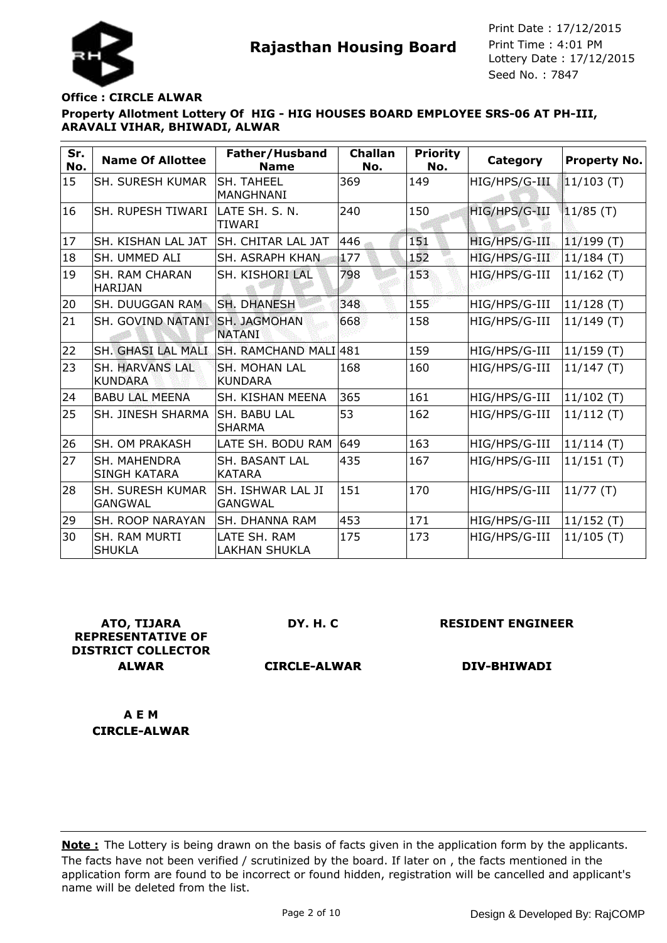

### **Office : CIRCLE ALWAR**

# **Property Allotment Lottery Of HIG - HIG HOUSES BOARD EMPLOYEE SRS-06 AT PH-III, ARAVALI VIHAR, BHIWADI, ALWAR**

| Sr.<br>No. | <b>Name Of Allottee</b>                   | Father/Husband<br><b>Name</b>        | <b>Challan</b><br>No. | <b>Priority</b><br>No. | <b>Category</b> | <b>Property No.</b> |
|------------|-------------------------------------------|--------------------------------------|-----------------------|------------------------|-----------------|---------------------|
| 15         | <b>SH. SURESH KUMAR</b>                   | SH. TAHEEL<br>MANGHNANI              | 369                   | 149                    | HIG/HPS/G-III   | $11/103$ (T)        |
| 16         | <b>SH. RUPESH TIWARI</b>                  | LATE SH. S. N.<br><b>TIWARI</b>      | 240                   | 150                    | HIG/HPS/G-III   | $11/85$ (T)         |
| 17         | SH. KISHAN LAL JAT                        | <b>SH. CHITAR LAL JAT</b>            | 446                   | 151                    | HIG/HPS/G-III   | $11/199$ (T)        |
| 18         | SH. UMMED ALI                             | <b>SH. ASRAPH KHAN</b>               | 177                   | 152                    | HIG/HPS/G-III   | $11/184$ (T)        |
| 19         | <b>SH. RAM CHARAN</b><br> HARIJAN         | SH. KISHORI LAL                      | 798                   | 153                    | HIG/HPS/G-III   | $11/162$ (T)        |
| 20         | ISH. DUUGGAN RAM.                         | <b>SH. DHANESH</b>                   | 348                   | 155                    | HIG/HPS/G-III   | $11/128$ (T)        |
| 21         | <b>SH. GOVIND NATANI</b>                  | <b>SH. JAGMOHAN</b><br><b>NATANI</b> | 668                   | 158                    | HIG/HPS/G-III   | $11/149$ (T)        |
| 22         | SH. GHASI LAL MALI                        | ISH. RAMCHAND MALI 481               |                       | 159                    | HIG/HPS/G-III   | $11/159$ (T)        |
| 23         | <b>SH. HARVANS LAL</b><br><b>KUNDARA</b>  | SH. MOHAN LAL<br><b>KUNDARA</b>      | 168                   | 160                    | HIG/HPS/G-III   | 11/147(T)           |
| 24         | <b>BABU LAL MEENA</b>                     | SH. KISHAN MEENA                     | 365                   | 161                    | HIG/HPS/G-III   | $11/102$ (T)        |
| 25         | SH. JINESH SHARMA                         | <b>SH. BABU LAL</b><br><b>SHARMA</b> | 53                    | 162                    | HIG/HPS/G-III   | 11/112(T)           |
| 26         | ISH. OM PRAKASH                           | LATE SH. BODU RAM                    | 649                   | 163                    | HIG/HPS/G-III   | $11/114$ (T)        |
| 27         | SH. MAHENDRA<br><b>SINGH KATARA</b>       | SH. BASANT LAL<br><b>KATARA</b>      | 435                   | 167                    | HIG/HPS/G-III   | $11/151$ (T)        |
| 28         | <b>SH. SURESH KUMAR</b><br><b>GANGWAL</b> | SH. ISHWAR LAL JI<br><b>GANGWAL</b>  | 151                   | 170                    | HIG/HPS/G-III   | 11/77(T)            |
| 29         | <b>SH. ROOP NARAYAN</b>                   | SH. DHANNA RAM                       | 453                   | 171                    | HIG/HPS/G-III   | $11/152$ (T)        |
| 30         | <b>SH. RAM MURTI</b><br><b>SHUKLA</b>     | LATE SH. RAM<br><b>LAKHAN SHUKLA</b> | 175                   | 173                    | HIG/HPS/G-III   | 11/105(T)           |

**ATO, TIJARA REPRESENTATIVE OF DISTRICT COLLECTOR ALWAR**

**DY. H. C**

**RESIDENT ENGINEER**

**CIRCLE-ALWAR**

**DIV-BHIWADI**

**A E M CIRCLE-ALWAR**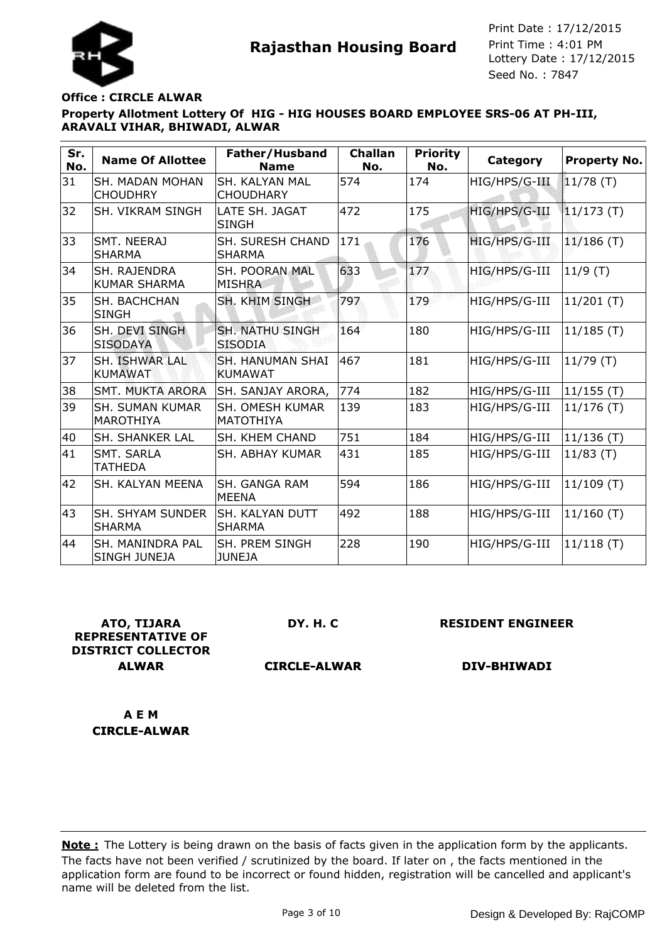



### **Office : CIRCLE ALWAR**

### **Property Allotment Lottery Of HIG - HIG HOUSES BOARD EMPLOYEE SRS-06 AT PH-III, ARAVALI VIHAR, BHIWADI, ALWAR**

| Sr.<br>No. | <b>Name Of Allottee</b>                   | Father/Husband<br><b>Name</b>            | <b>Challan</b><br>No. | <b>Priority</b><br>No. | Category      | <b>Property No.</b> |
|------------|-------------------------------------------|------------------------------------------|-----------------------|------------------------|---------------|---------------------|
| 31         | <b>SH. MADAN MOHAN</b><br><b>CHOUDHRY</b> | SH. KALYAN MAL<br><b>CHOUDHARY</b>       | 574                   | 174                    | HIG/HPS/G-III | $11/78$ (T)         |
| 32         | <b>SH. VIKRAM SINGH</b>                   | LATE SH. JAGAT<br><b>SINGH</b>           | 472                   | 175                    | HIG/HPS/G-III | $11/173$ (T)        |
| 33         | SMT. NEERAJ<br><b>SHARMA</b>              | <b>SH. SURESH CHAND</b><br><b>SHARMA</b> | 171                   | 176                    | HIG/HPS/G-III | $11/186$ (T)        |
| 34         | ISH. RAJENDRA<br><b>KUMAR SHARMA</b>      | <b>SH. POORAN MAL</b><br><b>MISHRA</b>   | 633                   | 177                    | HIG/HPS/G-III | $11/9$ (T)          |
| 35         | SH. BACHCHAN<br><b>SINGH</b>              | SH. KHIM SINGH                           | 797                   | 179                    | HIG/HPS/G-III | $11/201$ (T)        |
| 36         | SH. DEVI SINGH<br><b>SISODAYA</b>         | <b>SH. NATHU SINGH</b><br><b>SISODIA</b> | 164                   | 180                    | HIG/HPS/G-III | $11/185$ (T)        |
| 37         | SH. ISHWAR LAL<br><b>KUMAWAT</b>          | SH. HANUMAN SHAI<br><b>KUMAWAT</b>       | 467                   | 181                    | HIG/HPS/G-III | 11/79(T)            |
| 38         | <b>SMT. MUKTA ARORA</b>                   | SH. SANJAY ARORA,                        | 774                   | 182                    | HIG/HPS/G-III | $11/155$ (T)        |
| 39         | <b>SH. SUMAN KUMAR</b><br>IMAROTHIYA      | SH. OMESH KUMAR<br><b>MATOTHIYA</b>      | 139                   | 183                    | HIG/HPS/G-III | $11/176$ (T)        |
| 40         | <b>SH. SHANKER LAL</b>                    | SH. KHEM CHAND                           | 751                   | 184                    | HIG/HPS/G-III | $11/136$ (T)        |
| 41         | SMT. SARLA<br><b>TATHEDA</b>              | <b>SH. ABHAY KUMAR</b>                   | 431                   | 185                    | HIG/HPS/G-III | $11/83$ (T)         |
| 42         | SH. KALYAN MEENA                          | SH. GANGA RAM<br><b>MEENA</b>            | 594                   | 186                    | HIG/HPS/G-III | $11/109$ (T)        |
| 43         | <b>SH. SHYAM SUNDER</b><br><b>SHARMA</b>  | SH. KALYAN DUTT<br>SHARMA                | 492                   | 188                    | HIG/HPS/G-III | $11/160$ (T)        |
| 44         | SH. MANINDRA PAL<br>SINGH JUNEJA          | SH. PREM SINGH<br><b>JUNEJA</b>          | 228                   | 190                    | HIG/HPS/G-III | $11/118$ (T)        |

**ATO, TIJARA REPRESENTATIVE OF DISTRICT COLLECTOR ALWAR**

**DY. H. C**

**RESIDENT ENGINEER**

**CIRCLE-ALWAR**

**DIV-BHIWADI**

**A E M CIRCLE-ALWAR**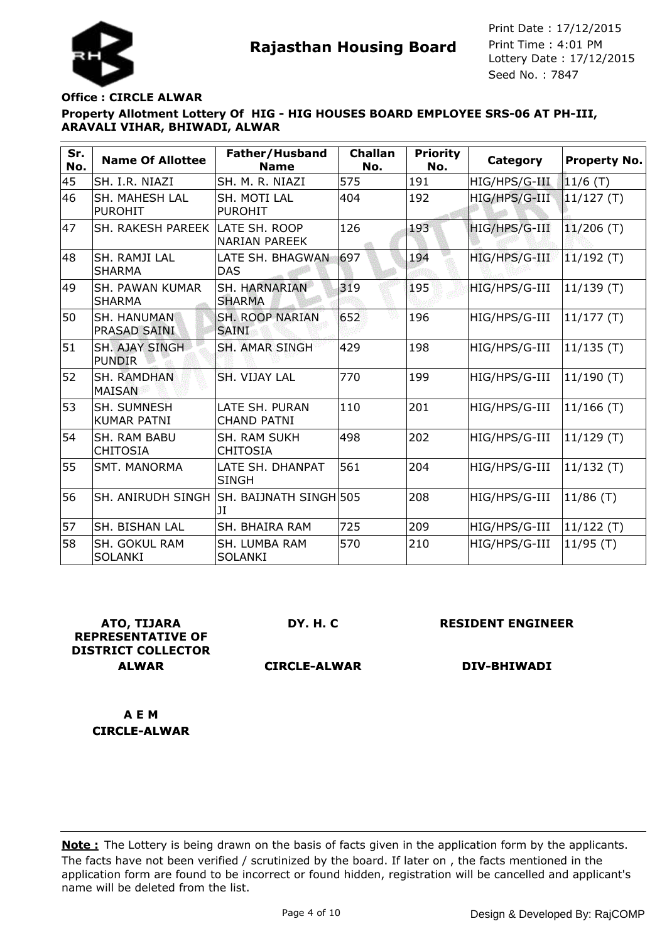



### **Office : CIRCLE ALWAR**

# **Property Allotment Lottery Of HIG - HIG HOUSES BOARD EMPLOYEE SRS-06 AT PH-III, ARAVALI VIHAR, BHIWADI, ALWAR**

| Sr.<br>No. | <b>Name Of Allottee</b>                | Father/Husband<br><b>Name</b>          | <b>Challan</b><br>No. | <b>Priority</b><br>No. | Category      | <b>Property No.</b> |
|------------|----------------------------------------|----------------------------------------|-----------------------|------------------------|---------------|---------------------|
| 45         | SH. I.R. NIAZI                         | SH. M. R. NIAZI                        | 575                   | 191                    | HIG/HPS/G-III | 11/6 (T)            |
| 46         | SH. MAHESH LAL<br><b>PUROHIT</b>       | SH. MOTI LAL<br><b>PUROHIT</b>         | 404                   | 192                    | HIG/HPS/G-III | $11/127$ (T)        |
| 47         | <b>SH. RAKESH PAREEK</b>               | LATE SH. ROOP<br><b>NARIAN PAREEK</b>  | 126                   | 193                    | HIG/HPS/G-III | $11/206$ (T)        |
| 48         | SH. RAMII LAL<br><b>SHARMA</b>         | LATE SH. BHAGWAN<br><b>DAS</b>         | 697                   | 194                    | HIG/HPS/G-III | $11/192$ (T)        |
| 49         | SH. PAWAN KUMAR<br><b>SHARMA</b>       | SH. HARNARIAN<br><b>SHARMA</b>         | 319                   | 195                    | HIG/HPS/G-III | 11/139(T)           |
| 50         | SH. HANUMAN<br><b>PRASAD SAINI</b>     | <b>SH. ROOP NARIAN</b><br><b>SAINI</b> | 652                   | 196                    | HIG/HPS/G-III | 11/177(T)           |
| 51         | <b>SH. AJAY SINGH</b><br><b>PUNDIR</b> | <b>SH. AMAR SINGH</b>                  | 429                   | 198                    | HIG/HPS/G-III | $11/135$ (T)        |
| 52         | <b>SH. RAMDHAN</b><br><b>MAISAN</b>    | SH. VIJAY LAL                          | 770                   | 199                    | HIG/HPS/G-III | $11/190$ (T)        |
| 53         | SH. SUMNESH<br><b>KUMAR PATNI</b>      | LATE SH. PURAN<br><b>CHAND PATNI</b>   | 110                   | 201                    | HIG/HPS/G-III | $11/166$ (T)        |
| 54         | SH. RAM BABU<br><b>CHITOSIA</b>        | <b>SH. RAM SUKH</b><br><b>CHITOSIA</b> | 498                   | 202                    | HIG/HPS/G-III | 11/129(T)           |
| 55         | <b>SMT. MANORMA</b>                    | LATE SH. DHANPAT<br><b>SINGH</b>       | 561                   | 204                    | HIG/HPS/G-III | 11/132(T)           |
| 56         | <b>SH. ANIRUDH SINGH</b>               | ISH. BAIJNATH SINGHI505<br>ЛL          |                       | 208                    | HIG/HPS/G-III | $11/86$ (T)         |
| 57         | <b>SH. BISHAN LAL</b>                  | <b>SH. BHAIRA RAM</b>                  | 725                   | 209                    | HIG/HPS/G-III | $11/122$ (T)        |
| 58         | SH. GOKUL RAM<br><b>SOLANKI</b>        | SH. LUMBA RAM<br><b>SOLANKI</b>        | 570                   | 210                    | HIG/HPS/G-III | 11/95(T)            |

**ATO, TIJARA REPRESENTATIVE OF DISTRICT COLLECTOR ALWAR**

**DY. H. C**

**RESIDENT ENGINEER**

**CIRCLE-ALWAR**

**DIV-BHIWADI**

**A E M CIRCLE-ALWAR**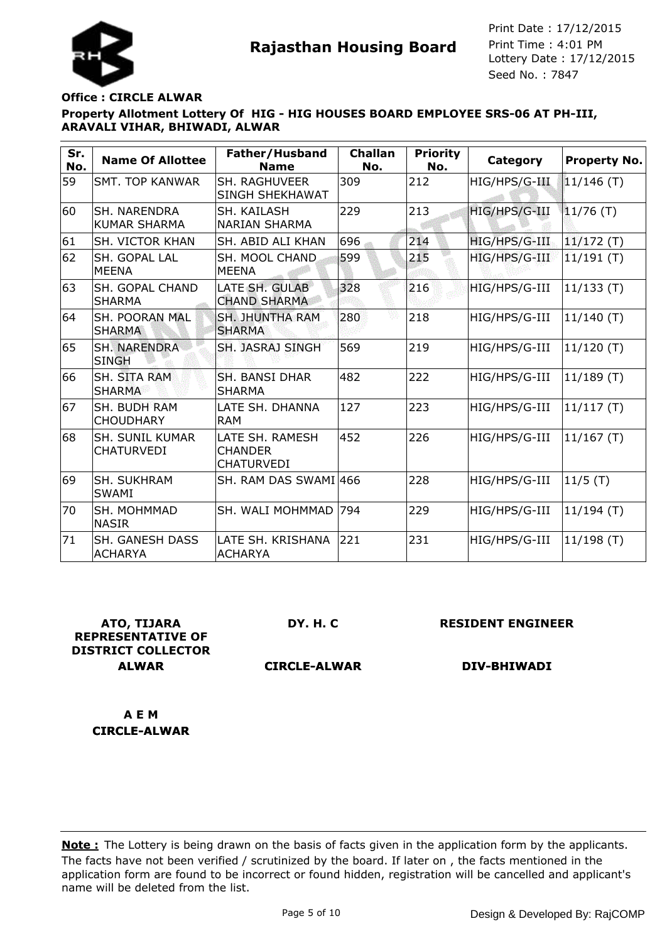

#### **Office : CIRCLE ALWAR**

### **Property Allotment Lottery Of HIG - HIG HOUSES BOARD EMPLOYEE SRS-06 AT PH-III, ARAVALI VIHAR, BHIWADI, ALWAR**

| Sr.<br>No. | <b>Name Of Allottee</b>                     | Father/Husband<br><b>Name</b>                          | <b>Challan</b><br>No. | <b>Priority</b><br>No. | Category      | Property No. |
|------------|---------------------------------------------|--------------------------------------------------------|-----------------------|------------------------|---------------|--------------|
| 59         | <b>SMT. TOP KANWAR</b>                      | SH. RAGHUVEER<br>SINGH SHEKHAWAT                       | 309                   | 212                    | HIG/HPS/G-III | $11/146$ (T) |
| 60         | <b>SH. NARENDRA</b><br><b>KUMAR SHARMA</b>  | SH. KAILASH<br><b>NARIAN SHARMA</b>                    | 229                   | 213                    | HIG/HPS/G-III | $11/76$ (T)  |
| 61         | SH. VICTOR KHAN                             | SH. ABID ALI KHAN                                      | 696                   | 214                    | HIG/HPS/G-III | $11/172$ (T) |
| 62         | SH. GOPAL LAL<br><b>MEENA</b>               | SH. MOOL CHAND<br><b>MEENA</b>                         | 599                   | 215                    | HIG/HPS/G-III | $11/191$ (T) |
| 63         | <b>SH. GOPAL CHAND</b><br><b>SHARMA</b>     | LATE SH. GULAB<br><b>CHAND SHARMA</b>                  | 328                   | 216                    | HIG/HPS/G-III | 11/133(T)    |
| 64         | SH. POORAN MAL<br><b>SHARMA</b>             | <b>SH. JHUNTHA RAM</b><br><b>SHARMA</b>                | 280                   | 218                    | HIG/HPS/G-III | $11/140$ (T) |
| 65         | <b>SH. NARENDRA</b><br><b>SINGH</b>         | SH. JASRAJ SINGH                                       | 569                   | 219                    | HIG/HPS/G-III | $11/120$ (T) |
| 66         | <b>SH. SITA RAM</b><br><b>SHARMA</b>        | <b>SH. BANSI DHAR</b><br><b>SHARMA</b>                 | 482                   | 222                    | HIG/HPS/G-III | 11/189(T)    |
| 67         | SH. BUDH RAM<br><b>CHOUDHARY</b>            | LATE SH. DHANNA<br><b>RAM</b>                          | 127                   | 223                    | HIG/HPS/G-III | 11/117(T)    |
| 68         | <b>SH. SUNIL KUMAR</b><br><b>CHATURVEDI</b> | LATE SH. RAMESH<br><b>CHANDER</b><br><b>CHATURVEDI</b> | 452                   | 226                    | HIG/HPS/G-III | 11/167(T)    |
| 69         | <b>SH. SUKHRAM</b><br><b>SWAMI</b>          | SH. RAM DAS SWAMI 466                                  |                       | 228                    | HIG/HPS/G-III | $11/5$ (T)   |
| 70         | <b>SH. MOHMMAD</b><br><b>NASIR</b>          | SH. WALI MOHMMAD                                       | 794                   | 229                    | HIG/HPS/G-III | $11/194$ (T) |
| 71         | SH. GANESH DASS<br><b>ACHARYA</b>           | LATE SH. KRISHANA<br><b>ACHARYA</b>                    | 221                   | 231                    | HIG/HPS/G-III | 11/198(T)    |

**ATO, TIJARA REPRESENTATIVE OF DISTRICT COLLECTOR ALWAR**

**DY. H. C**

**RESIDENT ENGINEER**

**CIRCLE-ALWAR**

**DIV-BHIWADI**

**A E M CIRCLE-ALWAR**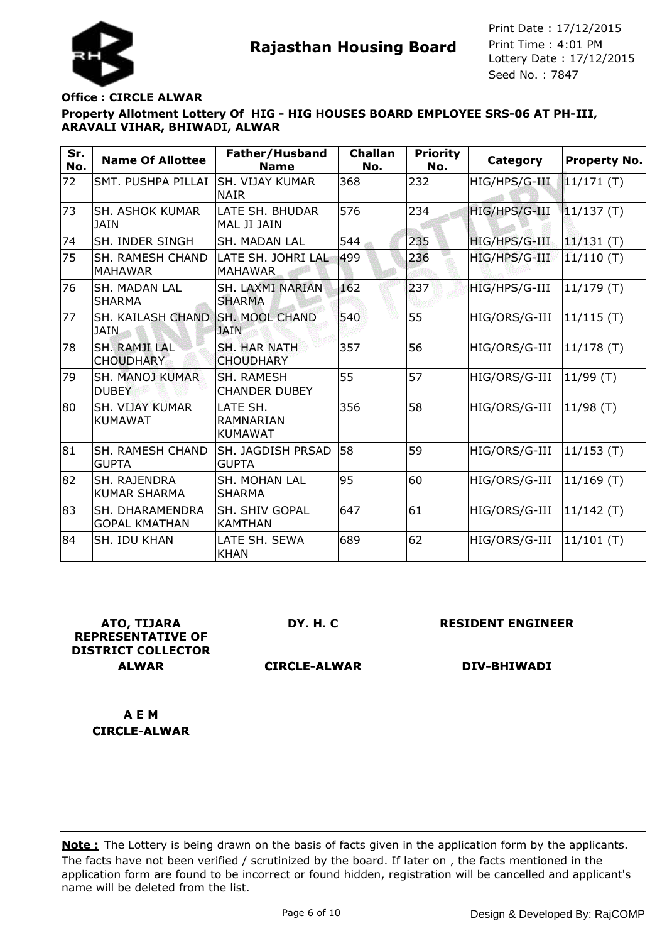

### **Office : CIRCLE ALWAR**

# **Property Allotment Lottery Of HIG - HIG HOUSES BOARD EMPLOYEE SRS-06 AT PH-III, ARAVALI VIHAR, BHIWADI, ALWAR**

| Sr.<br>No. | <b>Name Of Allottee</b>                    | Father/Husband<br><b>Name</b>             | <b>Challan</b><br>No. | <b>Priority</b><br>No. | Category      | <b>Property No.</b> |
|------------|--------------------------------------------|-------------------------------------------|-----------------------|------------------------|---------------|---------------------|
| 72         | SMT. PUSHPA PILLAI                         | <b>SH. VIJAY KUMAR</b><br><b>NAIR</b>     | 368                   | 232                    | HIG/HPS/G-III | 11/171(T)           |
| 73         | <b>SH. ASHOK KUMAR</b><br><b>JAIN</b>      | LATE SH. BHUDAR<br>MAL JI JAIN            | 576                   | 234                    | HIG/HPS/G-III | 11/137(T)           |
| 74         | SH. INDER SINGH                            | <b>SH. MADAN LAL</b>                      | 544                   | 235                    | HIG/HPS/G-III | $11/131$ (T)        |
| 75         | <b>SH. RAMESH CHAND</b><br><b>MAHAWAR</b>  | LATE SH. JOHRI LAL<br><b>MAHAWAR</b>      | 499                   | 236                    | HIG/HPS/G-III | 11/110(T)           |
| 76         | <b>SH. MADAN LAL</b><br><b>SHARMA</b>      | SH. LAXMI NARIAN<br><b>SHARMA</b>         | 162                   | 237                    | HIG/HPS/G-III | $11/179$ (T)        |
| 77         | <b>SH. KAILASH CHAND</b><br><b>JAIN</b>    | <b>SH. MOOL CHAND</b><br><b>JAIN</b>      | 540                   | 55                     | HIG/ORS/G-III | $11/115$ (T)        |
| 78         | <b>SH. RAMJI LAL</b><br><b>CHOUDHARY</b>   | <b>SH. HAR NATH</b><br><b>CHOUDHARY</b>   | 357                   | 56                     | HIG/ORS/G-III | $11/178$ (T)        |
| 79         | <b>SH. MANOJ KUMAR</b><br><b>DUBEY</b>     | <b>SH. RAMESH</b><br><b>CHANDER DUBEY</b> | 55                    | 57                     | HIG/ORS/G-III | 11/99(T)            |
| 80         | <b>SH. VIJAY KUMAR</b><br><b>KUMAWAT</b>   | LATE SH.<br>RAMNARIAN<br><b>KUMAWAT</b>   | 356                   | 58                     | HIG/ORS/G-III | 11/98(T)            |
| 81         | <b>SH. RAMESH CHAND</b><br><b>GUPTA</b>    | SH. JAGDISH PRSAD<br><b>GUPTA</b>         | 58                    | 59                     | HIG/ORS/G-III | 11/153(T)           |
| 82         | <b>SH. RAJENDRA</b><br><b>KUMAR SHARMA</b> | SH. MOHAN LAL<br><b>SHARMA</b>            | 95                    | 60                     | HIG/ORS/G-III | $ 11/169(T)\rangle$ |
| 83         | SH. DHARAMENDRA<br><b>GOPAL KMATHAN</b>    | SH. SHIV GOPAL<br><b>KAMTHAN</b>          | 647                   | 61                     | HIG/ORS/G-III | 11/142(T)           |
| 84         | <b>SH. IDU KHAN</b>                        | LATE SH. SEWA<br><b>KHAN</b>              | 689                   | 62                     | HIG/ORS/G-III | 11/101(T)           |

**ATO, TIJARA REPRESENTATIVE OF DISTRICT COLLECTOR ALWAR**

**DY. H. C**

**RESIDENT ENGINEER**

**CIRCLE-ALWAR**

**DIV-BHIWADI**

**A E M CIRCLE-ALWAR**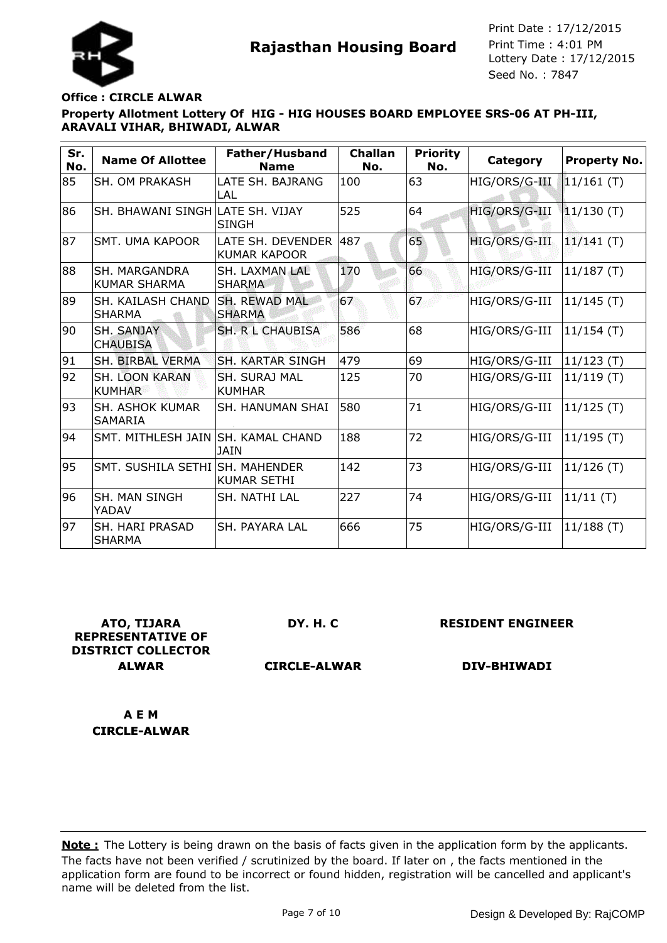

### **Office : CIRCLE ALWAR**

# **Property Allotment Lottery Of HIG - HIG HOUSES BOARD EMPLOYEE SRS-06 AT PH-III, ARAVALI VIHAR, BHIWADI, ALWAR**

| Sr.<br>No. | <b>Name Of Allottee</b>                     | Father/Husband<br><b>Name</b>            | <b>Challan</b><br>No. | <b>Priority</b><br>No. | Category      | Property No. |
|------------|---------------------------------------------|------------------------------------------|-----------------------|------------------------|---------------|--------------|
| 85         | SH. OM PRAKASH                              | LATE SH. BAJRANG<br>LAL                  | 100                   | 63                     | HIG/ORS/G-III | $11/161$ (T) |
| 86         | SH. BHAWANI SINGH LATE SH. VIJAY            | <b>SINGH</b>                             | 525                   | 64                     | HIG/ORS/G-III | $11/130$ (T) |
| 87         | SMT. UMA KAPOOR                             | LATE SH. DEVENDER<br><b>KUMAR KAPOOR</b> | 487                   | 65                     | HIG/ORS/G-III | $11/141$ (T) |
| 88         | <b>SH. MARGANDRA</b><br><b>KUMAR SHARMA</b> | SH. LAXMAN LAL<br><b>SHARMA</b>          | 170                   | 66                     | HIG/ORS/G-III | 11/187(T)    |
| 89         | SH. KAILASH CHAND<br><b>SHARMA</b>          | <b>SH. REWAD MAL</b><br><b>SHARMA</b>    | 67                    | 67                     | HIG/ORS/G-III | $11/145$ (T) |
| 90         | <b>SH. SANJAY</b><br><b>CHAUBISA</b>        | <b>SH. R L CHAUBISA</b>                  | 586                   | 68                     | HIG/ORS/G-III | 11/154(T)    |
| 91         | <b>SH. BIRBAL VERMA</b>                     | ISH. KARTAR SINGH                        | 479                   | 69                     | HIG/ORS/G-III | $11/123$ (T) |
| 92         | <b>SH. LOON KARAN</b><br><b>KUMHAR</b>      | SH. SURAJ MAL<br><b>KUMHAR</b>           | 125                   | 70                     | HIG/ORS/G-III | $11/119$ (T) |
| 93         | <b>SH. ASHOK KUMAR</b><br><b>SAMARIA</b>    | <b>SH. HANUMAN SHAI</b>                  | 580                   | 71                     | HIG/ORS/G-III | $11/125$ (T) |
| 94         | SMT, MITHLESH JAIN SH, KAMAL CHAND          | <b>JAIN</b>                              | 188                   | 72                     | HIG/ORS/G-III | 11/195(T)    |
| 95         | SMT. SUSHILA SETHI SH. MAHENDER             | <b>KUMAR SETHI</b>                       | 142                   | 73                     | HIG/ORS/G-III | $11/126$ (T) |
| 96         | SH. MAN SINGH<br>YADAV                      | SH. NATHI LAL                            | 227                   | 74                     | HIG/ORS/G-III | 11/11(T)     |
| 97         | SH. HARI PRASAD<br><b>SHARMA</b>            | SH. PAYARA LAL                           | 666                   | 75                     | HIG/ORS/G-III | $11/188$ (T) |

**ATO, TIJARA REPRESENTATIVE OF DISTRICT COLLECTOR ALWAR**

**DY. H. C**

**RESIDENT ENGINEER**

**CIRCLE-ALWAR**

**DIV-BHIWADI**

**A E M CIRCLE-ALWAR**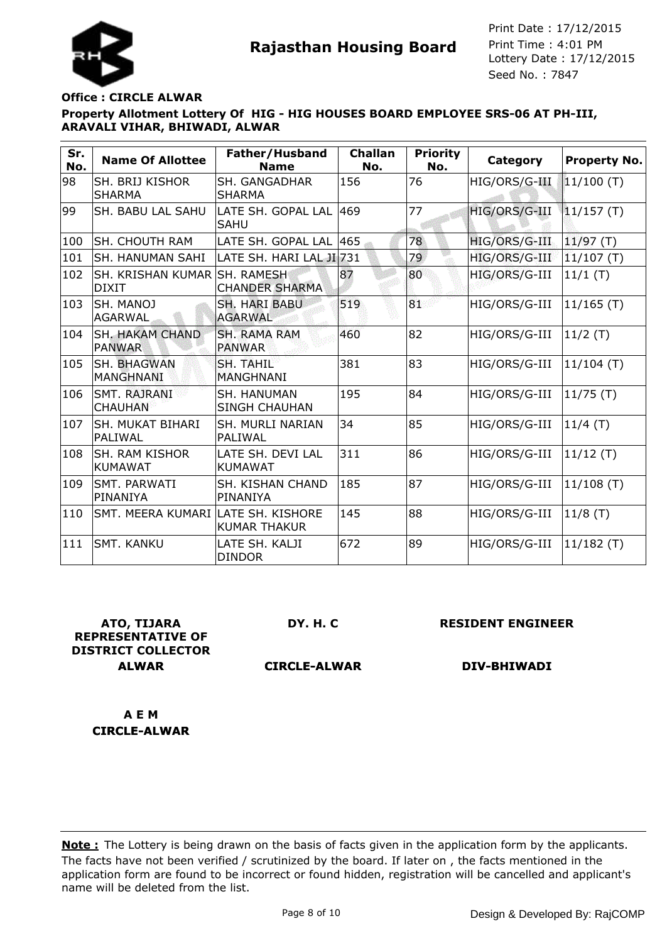



### **Office : CIRCLE ALWAR**

## **Property Allotment Lottery Of HIG - HIG HOUSES BOARD EMPLOYEE SRS-06 AT PH-III, ARAVALI VIHAR, BHIWADI, ALWAR**

| Sr.<br>No. | <b>Name Of Allottee</b>                 | Father/Husband<br><b>Name</b>          | <b>Challan</b><br>No. | <b>Priority</b><br>No. | <b>Category</b> | <b>Property No.</b> |
|------------|-----------------------------------------|----------------------------------------|-----------------------|------------------------|-----------------|---------------------|
| 98         | SH. BRIJ KISHOR<br><b>SHARMA</b>        | SH. GANGADHAR<br><b>SHARMA</b>         | 156                   | 76                     | HIG/ORS/G-III   | 11/100 (T)          |
| 99         | SH. BABU LAL SAHU                       | LATE SH. GOPAL LAL  469<br><b>SAHU</b> |                       | 77                     | HIG/ORS/G-III   | 11/157(T)           |
| 100        | <b>SH. CHOUTH RAM</b>                   | LATE SH. GOPAL LAL  465                |                       | 78                     | HIG/ORS/G-III   | $ 11/97(T)\rangle$  |
| 101        | <b>SH. HANUMAN SAHI</b>                 | LATE SH. HARI LAL JI 731               |                       | 79                     | HIG/ORS/G-III   | $11/107$ (T)        |
| 102        | SH. KRISHAN KUMAR SH. RAMESH<br>DIXIT   | <b>CHANDER SHARMA</b>                  | 87                    | 80                     | HIG/ORS/G-III   | 11/1(T)             |
| 103        | ISH. MANOJ<br> AGARWAL                  | <b>SH. HARI BABU</b><br><b>AGARWAL</b> | 519                   | 81                     | HIG/ORS/G-III   | $11/165$ (T)        |
| 104        | <b>SH. HAKAM CHAND</b><br><b>PANWAR</b> | <b>SH. RAMA RAM</b><br><b>PANWAR</b>   | 460                   | 82                     | HIG/ORS/G-III   | $ 11/2$ (T)         |
| 105        | <b>SH. BHAGWAN</b><br>MANGHNANI         | SH. TAHIL<br><b>MANGHNANI</b>          | 381                   | 83                     | HIG/ORS/G-III   | $ 11/104(T)\rangle$ |
| 106        | SMT. RAJRANI<br><b>CHAUHAN</b>          | SH. HANUMAN<br><b>SINGH CHAUHAN</b>    | 195                   | 84                     | HIG/ORS/G-III   | 11/75(T)            |
| 107        | lSH. MUKAT BIHARI<br><b>PALIWAL</b>     | <b>SH. MURLI NARIAN</b><br>PALIWAL     | 34                    | 85                     | HIG/ORS/G-III   | 11/4(T)             |
| 108        | ISH. RAM KISHOR<br>KUMAWAT              | LATE SH. DEVI LAL<br><b>KUMAWAT</b>    | 311                   | 86                     | HIG/ORS/G-III   | $11/12$ (T)         |
| 109        | ISMT. PARWATI<br>lPINANIYA              | SH. KISHAN CHAND<br>PINANIYA           | 185                   | 87                     | HIG/ORS/G-III   | $11/108$ (T)        |
| 110        | SMT. MEERA KUMARI LATE SH. KISHORE      | <b>KUMAR THAKUR</b>                    | 145                   | 88                     | HIG/ORS/G-III   | $11/8$ (T)          |
| 111        | <b>SMT. KANKU</b>                       | LATE SH. KALJI<br><b>DINDOR</b>        | 672                   | 89                     | HIG/ORS/G-III   | $ 11/182(T)\rangle$ |

**ATO, TIJARA REPRESENTATIVE OF DISTRICT COLLECTOR ALWAR**

**DY. H. C**

**RESIDENT ENGINEER**

**CIRCLE-ALWAR**

**DIV-BHIWADI**

**A E M CIRCLE-ALWAR**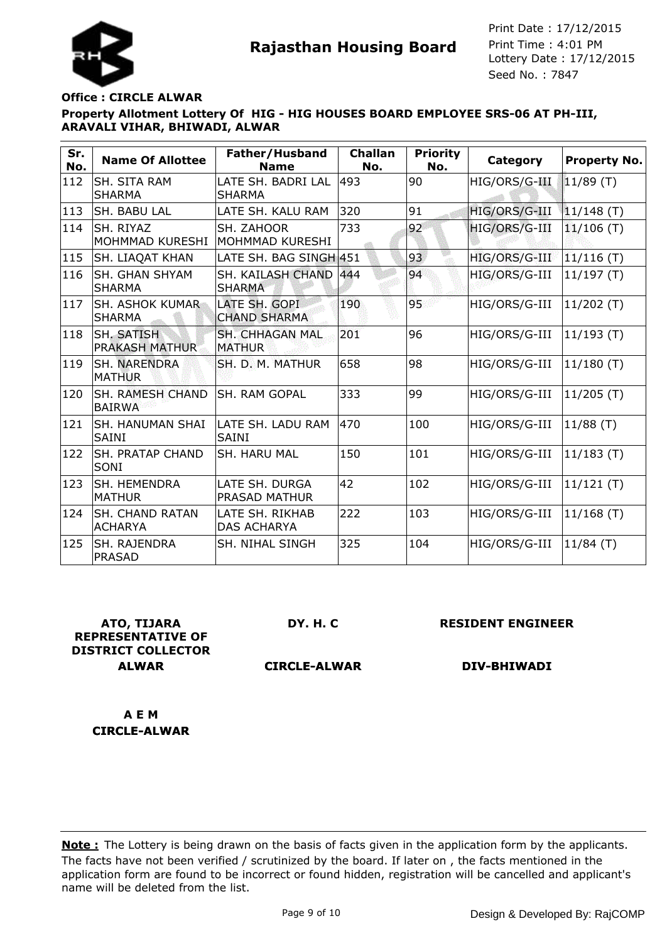



### **Office : CIRCLE ALWAR**

### **Property Allotment Lottery Of HIG - HIG HOUSES BOARD EMPLOYEE SRS-06 AT PH-III, ARAVALI VIHAR, BHIWADI, ALWAR**

| Sr.<br>No. | <b>Name Of Allottee</b>                  | Father/Husband<br><b>Name</b>           | <b>Challan</b><br>No. | <b>Priority</b><br>No. | Category      | Property No.        |
|------------|------------------------------------------|-----------------------------------------|-----------------------|------------------------|---------------|---------------------|
| 112        | <b>SH. SITA RAM</b><br><b>SHARMA</b>     | LATE SH. BADRI LAL<br><b>SHARMA</b>     | 493                   | 90                     | HIG/ORS/G-III | 11/89 (T)           |
| 113        | <b>SH. BABU LAL</b>                      | LATE SH. KALU RAM                       | 320                   | 91                     | HIG/ORS/G-III | $11/148$ (T)        |
| 114        | SH. RIYAZ<br>MOHMMAD KURESHI             | SH. ZAHOOR<br>MOHMMAD KURESHI           | 733                   | 92                     | HIG/ORS/G-III | $11/106$ (T)        |
| 115        | <b>SH. LIAQAT KHAN</b>                   | LATE SH. BAG SINGH 451                  |                       | 93                     | HIG/ORS/G-III | $11/116$ (T)        |
| 116        | <b>SH. GHAN SHYAM</b><br><b>SHARMA</b>   | SH. KAILASH CHAND 444<br><b>SHARMA</b>  |                       | 94                     | HIG/ORS/G-III | 11/197(T)           |
| 117        | <b>SH. ASHOK KUMAR</b><br><b>SHARMA</b>  | LATE SH. GOPI<br><b>CHAND SHARMA</b>    | 190                   | 95                     | HIG/ORS/G-III | $11/202$ (T)        |
| 118        | SH. SATISH<br><b>PRAKASH MATHUR</b>      | <b>SH. CHHAGAN MAL</b><br><b>MATHUR</b> | 201                   | 96                     | HIG/ORS/G-III | $ 11/193(T)\rangle$ |
| 119        | <b>SH. NARENDRA</b><br><b>MATHUR</b>     | SH. D. M. MATHUR                        | 658                   | 98                     | HIG/ORS/G-III | $ 11/180(T)\rangle$ |
| 120        | <b>SH. RAMESH CHAND</b><br><b>BAIRWA</b> | <b>SH. RAM GOPAL</b>                    | 333                   | 99                     | HIG/ORS/G-III | $11/205$ (T)        |
| 121        | <b>SH. HANUMAN SHAI</b><br><b>SAINI</b>  | LATE SH. LADU RAM<br><b>SAINI</b>       | 470                   | 100                    | HIG/ORS/G-III | 11/88(T)            |
| 122        | <b>SH. PRATAP CHAND</b><br>SONI          | SH. HARU MAL                            | 150                   | 101                    | HIG/ORS/G-III | $11/183$ (T)        |
| 123        | SH. HEMENDRA<br><b>MATHUR</b>            | LATE SH. DURGA<br>PRASAD MATHUR         | 42                    | 102                    | HIG/ORS/G-III | $11/121$ (T)        |
| 124        | <b>SH. CHAND RATAN</b><br><b>ACHARYA</b> | LATE SH. RIKHAB<br><b>DAS ACHARYA</b>   | 222                   | 103                    | HIG/ORS/G-III | $11/168$ (T)        |
| 125        | <b>SH. RAJENDRA</b><br><b>PRASAD</b>     | SH. NIHAL SINGH                         | 325                   | 104                    | HIG/ORS/G-III | $11/84$ (T)         |

**ATO, TIJARA REPRESENTATIVE OF DISTRICT COLLECTOR ALWAR**

**DY. H. C**

**RESIDENT ENGINEER**

**CIRCLE-ALWAR**

**DIV-BHIWADI**

**A E M CIRCLE-ALWAR**